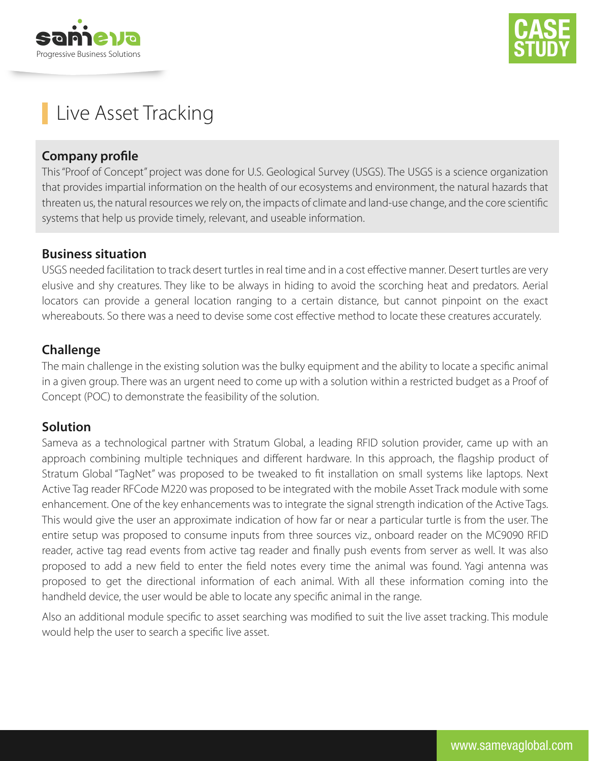



# Live Asset Tracking

#### **Company profile**

This "Proof of Concept" project was done for U.S. Geological Survey (USGS). The USGS is a science organization that provides impartial information on the health of our ecosystems and environment, the natural hazards that threaten us, the natural resources we rely on, the impacts of climate and land-use change, and the core scientific systems that help us provide timely, relevant, and useable information.

#### **Business situation**

USGS needed facilitation to track desert turtles in real time and in a cost effective manner. Desert turtles are very elusive and shy creatures. They like to be always in hiding to avoid the scorching heat and predators. Aerial locators can provide a general location ranging to a certain distance, but cannot pinpoint on the exact whereabouts. So there was a need to devise some cost effective method to locate these creatures accurately.

### **Challenge**

The main challenge in the existing solution was the bulky equipment and the ability to locate a specific animal in a given group. There was an urgent need to come up with a solution within a restricted budget as a Proof of Concept (POC) to demonstrate the feasibility of the solution.

### **Solution**

Sameva as a technological partner with Stratum Global, a leading RFID solution provider, came up with an approach combining multiple techniques and different hardware. In this approach, the flagship product of Stratum Global "TagNet" was proposed to be tweaked to fit installation on small systems like laptops. Next Active Tag reader RFCode M220 was proposed to be integrated with the mobile Asset Track module with some enhancement. One of the key enhancements was to integrate the signal strength indication of the Active Tags. This would give the user an approximate indication of how far or near a particular turtle is from the user. The entire setup was proposed to consume inputs from three sources viz., onboard reader on the MC9090 RFID reader, active tag read events from active tag reader and finally push events from server as well. It was also proposed to add a new field to enter the field notes every time the animal was found. Yagi antenna was proposed to get the directional information of each animal. With all these information coming into the handheld device, the user would be able to locate any specific animal in the range.

Also an additional module specific to asset searching was modified to suit the live asset tracking. This module would help the user to search a specific live asset.